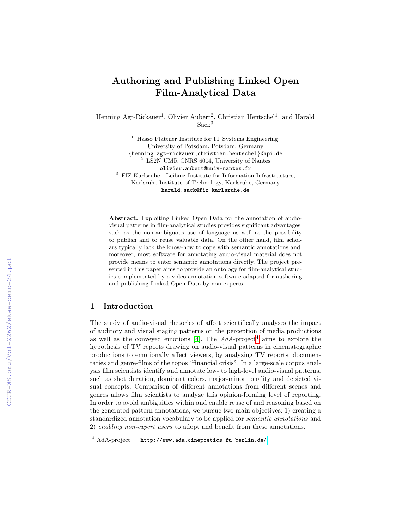# Authoring and Publishing Linked Open Film-Analytical Data

Henning Agt-Rickauer<sup>1</sup>, Olivier Aubert<sup>2</sup>, Christian Hentschel<sup>1</sup>, and Harald Sack<sup>3</sup>

 $<sup>1</sup>$  Hasso Plattner Institute for IT Systems Engineering,</sup> University of Potsdam, Potsdam, Germany {henning.agt-rickauer,christian.hentschel}@hpi.de <sup>2</sup> LS2N UMR CNRS 6004, University of Nantes olivier.aubert@univ-nantes.fr  $^3\,$  FIZ Karlsruhe - Leibniz Institute for Information Infrastructure, Karlsruhe Institute of Technology, Karlsruhe, Germany harald.sack@fiz-karlsruhe.de

Abstract. Exploiting Linked Open Data for the annotation of audiovisual patterns in film-analytical studies provides significant advantages, such as the non-ambiguous use of language as well as the possibility to publish and to reuse valuable data. On the other hand, film scholars typically lack the know-how to cope with semantic annotations and, moreover, most software for annotating audio-visual material does not provide means to enter semantic annotations directly. The project presented in this paper aims to provide an ontology for film-analytical studies complemented by a video annotation software adapted for authoring and publishing Linked Open Data by non-experts.

## 1 Introduction

The study of audio-visual rhetorics of affect scientifically analyses the impact of auditory and visual staging patterns on the perception of media productions as well as the conveyed emotions [\[4\]](#page--1-0). The  $AdA$ -project<sup>[4](#page-0-0)</sup> aims to explore the hypothesis of TV reports drawing on audio-visual patterns in cinematographic productions to emotionally affect viewers, by analyzing TV reports, documentaries and genre-films of the topos "financial crisis". In a large-scale corpus analysis film scientists identify and annotate low- to high-level audio-visual patterns, such as shot duration, dominant colors, major-minor tonality and depicted visual concepts. Comparison of different annotations from different scenes and genres allows film scientists to analyze this opinion-forming level of reporting. In order to avoid ambiguities within and enable reuse of and reasoning based on the generated pattern annotations, we pursue two main objectives: 1) creating a standardized annotation vocabulary to be applied for semantic annotations and 2) enabling non-expert users to adopt and benefit from these annotations.

<span id="page-0-0"></span> $\frac{4 \text{ AdA-project}}{\text{AdA-project}}$  — <http://www.ada.cinepoetics.fu-berlin.de/>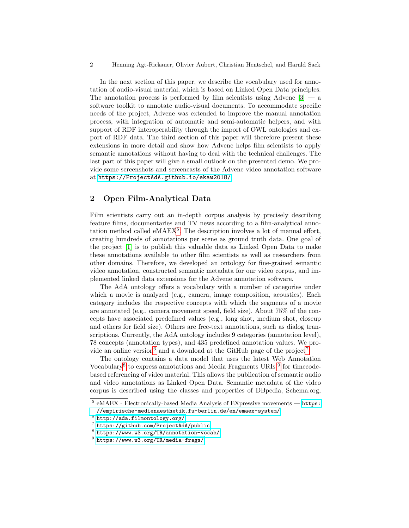In the next section of this paper, we describe the vocabulary used for annotation of audio-visual material, which is based on Linked Open Data principles. The annotation process is performed by film scientists using Advene  $[3]$  — a software toolkit to annotate audio-visual documents. To accommodate specific needs of the project, Advene was extended to improve the manual annotation process, with integration of automatic and semi-automatic helpers, and with support of RDF interoperability through the import of OWL ontologies and export of RDF data. The third section of this paper will therefore present these extensions in more detail and show how Advene helps film scientists to apply semantic annotations without having to deal with the technical challenges. The last part of this paper will give a small outlook on the presented demo. We provide some screenshots and screencasts of the Advene video annotation software at <https://ProjectAdA.github.io/ekaw2018/>.

#### 2 Open Film-Analytical Data

Film scientists carry out an in-depth corpus analysis by precisely describing feature films, documentaries and TV news according to a film-analytical annotation method called  $eMAEX^5$  $eMAEX^5$ . The description involves a lot of manual effort, creating hundreds of annotations per scene as ground truth data. One goal of the project [\[1\]](#page-3-1) is to publish this valuable data as Linked Open Data to make these annotations available to other film scientists as well as researchers from other domains. Therefore, we developed an ontology for fine-grained semantic video annotation, constructed semantic metadata for our video corpus, and implemented linked data extensions for the Advene annotation software.

The AdA ontology offers a vocabulary with a number of categories under which a movie is analyzed (e.g., camera, image composition, acoustics). Each category includes the respective concepts with which the segments of a movie are annotated (e.g., camera movement speed, field size). About 75% of the concepts have associated predefined values (e.g., long shot, medium shot, closeup and others for field size). Others are free-text annotations, such as dialog transcriptions. Currently, the AdA ontology includes 9 categories (annotation level), 78 concepts (annotation types), and 435 predefined annotation values. We pro-vide an online version<sup>[6](#page-1-1)</sup> and a download at the GitHub page of the project<sup>[7](#page-1-2)</sup>.

The ontology contains a data model that uses the latest Web Annotation Vocabulary<sup>[8](#page-1-3)</sup> to express annotations and Media Fragments URIs<sup>[9](#page-1-4)</sup> for timecodebased referencing of video material. This allows the publication of semantic audio and video annotations as Linked Open Data. Semantic metadata of the video corpus is described using the classes and properties of DBpedia, Schema.org,

<span id="page-1-0"></span><sup>5</sup> eMAEX - Electronically-based Media Analysis of EXpressive movements — [https:](https://empirische-medienaesthetik.fu-berlin.de/en/emaex-system/) [//empirische-medienaesthetik.fu-berlin.de/en/emaex-system/](https://empirische-medienaesthetik.fu-berlin.de/en/emaex-system/)

<span id="page-1-1"></span> $^6$  <http://ada.filmontology.org/>

<span id="page-1-2"></span><sup>7</sup> <https://github.com/ProjectAdA/public>

<span id="page-1-3"></span> $^8$  <https://www.w3.org/TR/annotation-vocab/>

<span id="page-1-4"></span> $^9$  <https://www.w3.org/TR/media-frags/>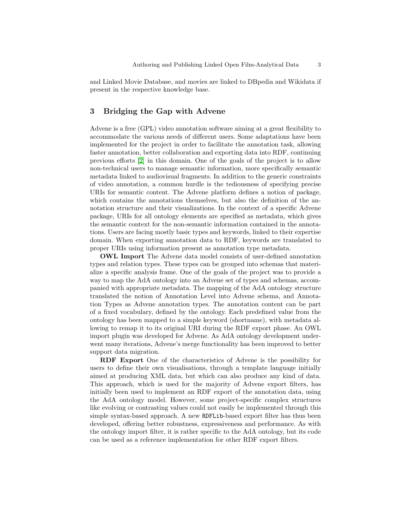and Linked Movie Database, and movies are linked to DBpedia and Wikidata if present in the respective knowledge base.

#### 3 Bridging the Gap with Advene

Advene is a free (GPL) video annotation software aiming at a great flexibility to accommodate the various needs of different users. Some adaptations have been implemented for the project in order to facilitate the annotation task, allowing faster annotation, better collaboration and exporting data into RDF, continuing previous efforts [\[2\]](#page-3-2) in this domain. One of the goals of the project is to allow non-technical users to manage semantic information, more specifically semantic metadata linked to audiovisual fragments. In addition to the generic constraints of video annotation, a common hurdle is the tediousness of specifying precise URIs for semantic content. The Advene platform defines a notion of package, which contains the annotations themselves, but also the definition of the annotation structure and their visualizations. In the context of a specific Advene package, URIs for all ontology elements are specified as metadata, which gives the semantic context for the non-semantic information contained in the annotations. Users are facing mostly basic types and keywords, linked to their expertise domain. When exporting annotation data to RDF, keywords are translated to proper URIs using information present as annotation type metadata.

OWL Import The Advene data model consists of user-defined annotation types and relation types. These types can be grouped into schemas that materialize a specific analysis frame. One of the goals of the project was to provide a way to map the AdA ontology into an Advene set of types and schemas, accompanied with appropriate metadata. The mapping of the AdA ontology structure translated the notion of Annotation Level into Advene schema, and Annotation Types as Advene annotation types. The annotation content can be part of a fixed vocabulary, defined by the ontology. Each predefined value from the ontology has been mapped to a simple keyword (shortname), with metadata allowing to remap it to its original URI during the RDF export phase. An OWL import plugin was developed for Advene. As AdA ontology development underwent many iterations, Advene's merge functionality has been improved to better support data migration.

RDF Export One of the characteristics of Advene is the possibility for users to define their own visualisations, through a template language initially aimed at producing XML data, but which can also produce any kind of data. This approach, which is used for the majority of Advene export filters, has initially been used to implement an RDF export of the annotation data, using the AdA ontology model. However, some project-specific complex structures like evolving or contrasting values could not easily be implemented through this simple syntax-based approach. A new RDFLib-based export filter has thus been developed, offering better robustness, expressiveness and performance. As with the ontology import filter, it is rather specific to the AdA ontology, but its code can be used as a reference implementation for other RDF export filters.